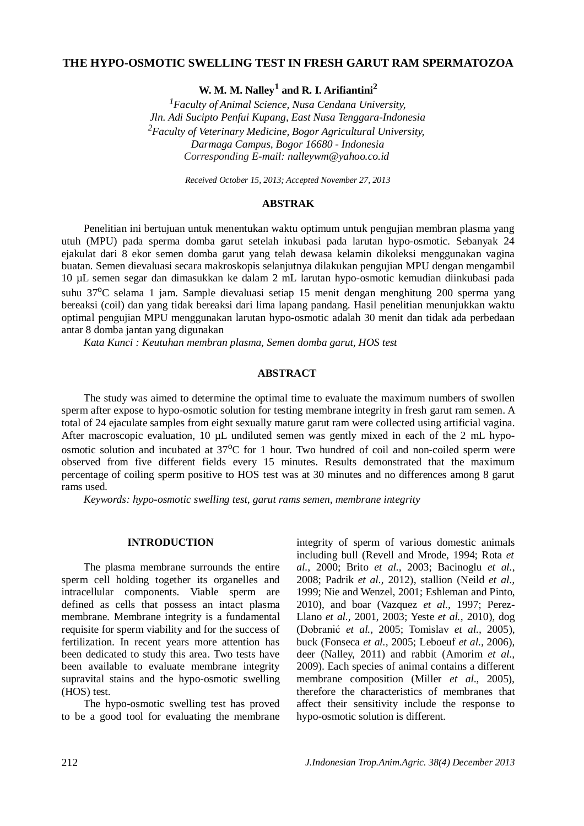## **THE HYPO-OSMOTIC SWELLING TEST IN FRESH GARUT RAM SPERMATOZOA**

**W. M. M. Nalley<sup>1</sup> and R. I. Arifiantini<sup>2</sup>**

*<sup>1</sup>Faculty of Animal Science, Nusa Cendana University, Jln. Adi Sucipto Penfui Kupang, East Nusa Tenggara-Indonesia <sup>2</sup>Faculty of Veterinary Medicine, Bogor Agricultural University, Darmaga Campus, Bogor 16680 - Indonesia Corresponding E-mail: nalleywm@yahoo.co.id*

*Received October 15, 2013; Accepted November 27, 2013*

### **ABSTRAK**

Penelitian ini bertujuan untuk menentukan waktu optimum untuk pengujian membran plasma yang utuh (MPU) pada sperma domba garut setelah inkubasi pada larutan hypo-osmotic. Sebanyak 24 ejakulat dari 8 ekor semen domba garut yang telah dewasa kelamin dikoleksi menggunakan vagina buatan. Semen dievaluasi secara makroskopis selanjutnya dilakukan pengujian MPU dengan mengambil 10 µL semen segar dan dimasukkan ke dalam 2 mL larutan hypo-osmotic kemudian diinkubasi pada suhu 37<sup>o</sup>C selama 1 jam. Sample dievaluasi setiap 15 menit dengan menghitung 200 sperma yang bereaksi (coil) dan yang tidak bereaksi dari lima lapang pandang. Hasil penelitian menunjukkan waktu optimal pengujian MPU menggunakan larutan hypo-osmotic adalah 30 menit dan tidak ada perbedaan antar 8 domba jantan yang digunakan

*Kata Kunci : Keutuhan membran plasma, Semen domba garut, HOS test*

## **ABSTRACT**

The study was aimed to determine the optimal time to evaluate the maximum numbers of swollen sperm after expose to hypo-osmotic solution for testing membrane integrity in fresh garut ram semen. A total of 24 ejaculate samples from eight sexually mature garut ram were collected using artificial vagina. After macroscopic evaluation, 10  $\mu$ L undiluted semen was gently mixed in each of the 2 mL hypoosmotic solution and incubated at  $37^{\circ}$ C for 1 hour. Two hundred of coil and non-coiled sperm were observed from five different fields every 15 minutes. Results demonstrated that the maximum percentage of coiling sperm positive to HOS test was at 30 minutes and no differences among 8 garut rams used.

*Keywords: hypo-osmotic swelling test, garut rams semen, membrane integrity*

## **INTRODUCTION**

The plasma membrane surrounds the entire sperm cell holding together its organelles and intracellular components. Viable sperm are defined as cells that possess an intact plasma membrane. Membrane integrity is a fundamental requisite for sperm viability and for the success of fertilization. In recent years more attention has been dedicated to study this area. Two tests have been available to evaluate membrane integrity supravital stains and the hypo-osmotic swelling (HOS) test.

The hypo-osmotic swelling test has proved to be a good tool for evaluating the membrane integrity of sperm of various domestic animals including bull (Revell and Mrode, 1994; Rota *et al.,* 2000; Brito *et al.,* 2003; Bacinoglu *et al.,* 2008; Padrik *et al.,* 2012), stallion (Neild *et al.,* 1999; Nie and Wenzel, 2001; Eshleman and Pinto, 2010), and boar (Vazquez *et al.,* 1997; Perez-Llano *et al.,* 2001, 2003; Yeste *et al.,* 2010), dog (Dobranić *et al.,* 2005; Tomislav *et al.,* 2005), buck (Fonseca *et al.,* 2005; Leboeuf *et al.,* 2006), deer (Nalley, 2011) and rabbit (Amorim *et al.,* 2009). Each species of animal contains a different membrane composition (Miller *et al*., 2005), therefore the characteristics of membranes that affect their sensitivity include the response to hypo-osmotic solution is different.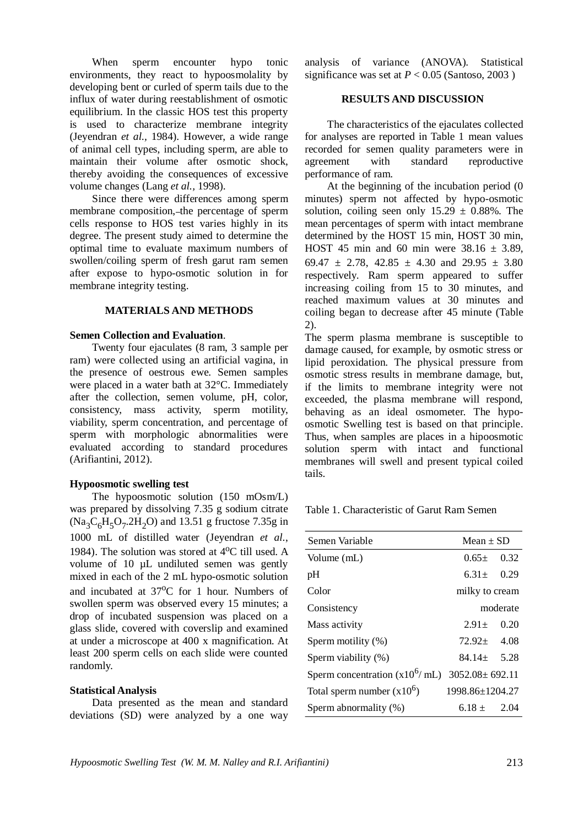When sperm encounter hypo tonic environments, they react to hypoosmolality by developing bent or curled of sperm tails due to the influx of water during reestablishment of osmotic equilibrium. In the classic HOS test this property is used to characterize membrane integrity (Jeyendran *et al.,* 1984). However, a wide range of animal cell types, including sperm, are able to maintain their volume after osmotic shock, thereby avoiding the consequences of excessive volume changes (Lang *et al.,* 1998).

Since there were differences among sperm membrane composition, the percentage of sperm cells response to HOS test varies highly in its degree. The present study aimed to determine the optimal time to evaluate maximum numbers of swollen/coiling sperm of fresh garut ram semen after expose to hypo-osmotic solution in for membrane integrity testing.

## **MATERIALS AND METHODS**

#### **Semen Collection and Evaluation**.

Twenty four ejaculates (8 ram, 3 sample per ram) were collected using an artificial vagina, in the presence of oestrous ewe. Semen samples were placed in a water bath at 32°C. Immediately after the collection, semen volume, pH, color, consistency, mass activity, sperm motility, viability, sperm concentration, and percentage of sperm with morphologic abnormalities were evaluated according to standard procedures (Arifiantini, 2012).

#### **Hypoosmotic swelling test**

The hypoosmotic solution (150 mOsm/L) was prepared by dissolving 7.35 g sodium citrate  $(Na<sub>3</sub>C<sub>6</sub>H<sub>5</sub>O<sub>7</sub>$ .2H<sub>2</sub>O) and 13.51 g fructose 7.35g in 1000 mL of distilled water (Jeyendran *et al.*, 1984). The solution was stored at  $4^{\circ}$ C till used. A volume of 10 uL undiluted semen was gently mixed in each of the 2 mL hypo-osmotic solution and incubated at 37<sup>o</sup>C for 1 hour. Numbers of swollen sperm was observed every 15 minutes; a drop of incubated suspension was placed on a glass slide, covered with coverslip and examined at under a microscope at 400 x magnification. At least 200 sperm cells on each slide were counted randomly.

### **Statistical Analysis**

Data presented as the mean and standard deviations (SD) were analyzed by a one way

analysis of variance (ANOVA). Statistical significance was set at  $P < 0.05$  (Santoso, 2003)

#### **RESULTS AND DISCUSSION**

The characteristics of the ejaculates collected for analyses are reported in Table 1 mean values recorded for semen quality parameters were in agreement with standard reproductive performance of ram.

At the beginning of the incubation period (0 minutes) sperm not affected by hypo-osmotic solution, coiling seen only  $15.29 \pm 0.88\%$ . The mean percentages of sperm with intact membrane determined by the HOST 15 min, HOST 30 min, HOST 45 min and 60 min were  $38.16 \pm 3.89$ , 69.47  $\pm$  2.78, 42.85  $\pm$  4.30 and 29.95  $\pm$  3.80 respectively. Ram sperm appeared to suffer increasing coiling from 15 to 30 minutes, and reached maximum values at 30 minutes and coiling began to decrease after 45 minute (Table 2).

The sperm plasma membrane is susceptible to damage caused, for example, by osmotic stress or lipid peroxidation. The physical pressure from osmotic stress results in membrane damage, but, if the limits to membrane integrity were not exceeded, the plasma membrane will respond, behaving as an ideal osmometer. The hypoosmotic Swelling test is based on that principle. Thus, when samples are places in a hipoosmotic solution sperm with intact and functional membranes will swell and present typical coiled tails.

Table 1. Characteristic of Garut Ram Semen

| Semen Variable                                      | $Mean \pm SD$    |          |
|-----------------------------------------------------|------------------|----------|
| Volume (mL)                                         | $0.65 \pm$       | 0.32     |
| pH                                                  | $6.31 \pm 0.29$  |          |
| Color                                               | milky to cream   |          |
| Consistency                                         |                  | moderate |
| Mass activity                                       | $2.91+$          | 0.20     |
| Sperm motility (%)                                  | $72.92 \pm 4.08$ |          |
| Sperm viability (%)                                 | $84.14 \pm 5.28$ |          |
| Sperm concentration ( $x10^6$ / mL) 3052.08± 692.11 |                  |          |
| Total sperm number $(x10^6)$                        | 1998.86±1204.27  |          |
| Sperm abnormality (%)                               | $6.18 \pm 2.04$  |          |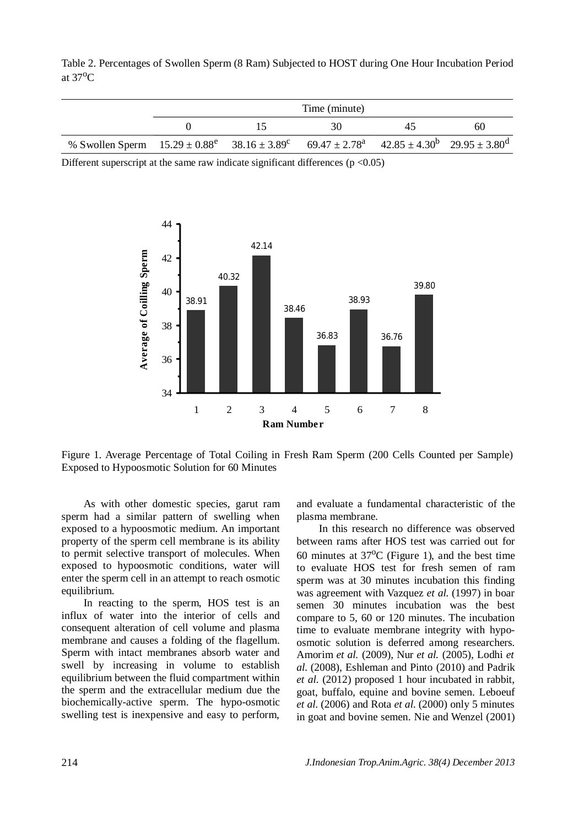Table 2. Percentages of Swollen Sperm (8 Ram) Subjected to HOST during One Hour Incubation Period at  $37^{\circ}$ C

|                                                                                                                | Time (minute) |  |    |    |    |  |
|----------------------------------------------------------------------------------------------------------------|---------------|--|----|----|----|--|
|                                                                                                                |               |  | 30 | 45 | 60 |  |
| % Swollen Sperm $15.29 \pm 0.88^e$ $38.16 \pm 3.89^e$ $69.47 \pm 2.78^a$ $42.85 \pm 4.30^b$ $29.95 \pm 3.80^d$ |               |  |    |    |    |  |

Different superscript at the same raw indicate significant differences ( $p < 0.05$ )



Figure 1. Average Percentage of Total Coiling in Fresh Ram Sperm (200 Cells Counted per Sample) Exposed to Hypoosmotic Solution for 60 Minutes

As with other domestic species, garut ram sperm had a similar pattern of swelling when exposed to a hypoosmotic medium. An important property of the sperm cell membrane is its ability to permit selective transport of molecules. When exposed to hypoosmotic conditions, water will enter the sperm cell in an attempt to reach osmotic equilibrium.

In reacting to the sperm, HOS test is an influx of water into the interior of cells and consequent alteration of cell volume and plasma membrane and causes a folding of the flagellum. Sperm with intact membranes absorb water and swell by increasing in volume to establish equilibrium between the fluid compartment within the sperm and the extracellular medium due the biochemically-active sperm. The hypo-osmotic swelling test is inexpensive and easy to perform,

and evaluate a fundamental characteristic of the plasma membrane.

In this research no difference was observed between rams after HOS test was carried out for 60 minutes at  $37^{\circ}$ C (Figure 1), and the best time to evaluate HOS test for fresh semen of ram sperm was at 30 minutes incubation this finding was agreement with Vazquez *et al.* (1997) in boar semen 30 minutes incubation was the best compare to 5, 60 or 120 minutes. The incubation time to evaluate membrane integrity with hypoosmotic solution is deferred among researchers. Amorim *et al.* (2009), Nur *et al.* (2005), Lodhi *et al.* (2008), Eshleman and Pinto (2010) and Padrik *et al.* (2012) proposed 1 hour incubated in rabbit, goat, buffalo, equine and bovine semen. Leboeuf *et al.* (2006) and Rota *et al.* (2000) only 5 minutes in goat and bovine semen. Nie and Wenzel (2001)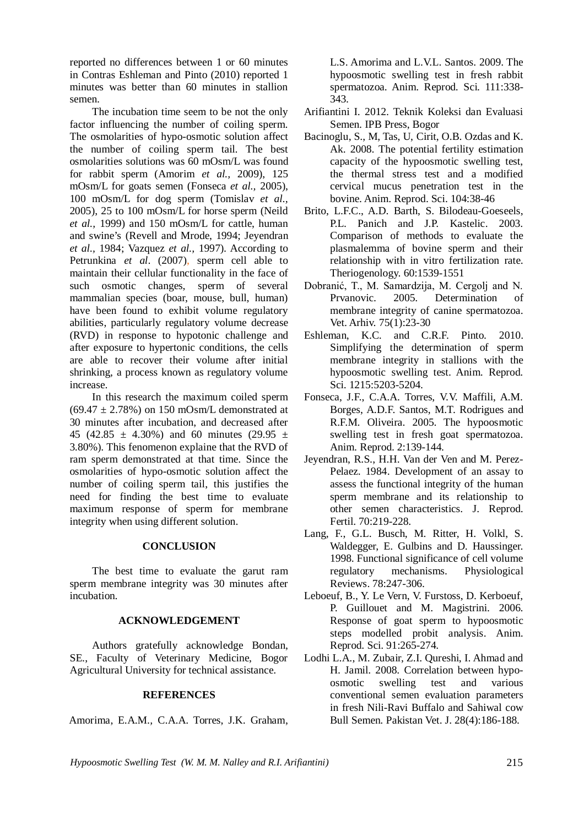reported no differences between 1 or 60 minutes in Contras Eshleman and Pinto (2010) reported 1 minutes was better than 60 minutes in stallion semen.

The incubation time seem to be not the only factor influencing the number of coiling sperm. The osmolarities of hypo-osmotic solution affect the number of coiling sperm tail. The best osmolarities solutions was 60 mOsm/L was found for rabbit sperm (Amorim *et al.,* 2009), 125 mOsm/L for goats semen (Fonseca *et al.,* 2005), 100 mOsm/L for dog sperm (Tomislav *et al.,* 2005), 25 to 100 mOsm/L for horse sperm (Neild *et al.,* 1999) and 150 mOsm/L for cattle, human and swine's (Revell and Mrode, 1994; Jeyendran *et al.,* 1984; Vazquez *et al.,* 1997). According to Petrunkina *et al*. (2007), sperm cell able to maintain their cellular functionality in the face of such osmotic changes, sperm of several mammalian species (boar, mouse, bull, human) have been found to exhibit volume regulatory abilities, particularly regulatory volume decrease (RVD) in response to hypotonic challenge and after exposure to hypertonic conditions, the cells are able to recover their volume after initial shrinking, a process known as regulatory volume increase.

In this research the maximum coiled sperm  $(69.47 \pm 2.78\%)$  on 150 mOsm/L demonstrated at 30 minutes after incubation, and decreased after 45 (42.85  $\pm$  4.30%) and 60 minutes (29.95  $\pm$ 3.80%). This fenomenon explaine that the RVD of ram sperm demonstrated at that time. Since the osmolarities of hypo-osmotic solution affect the number of coiling sperm tail, this justifies the need for finding the best time to evaluate maximum response of sperm for membrane integrity when using different solution.

## **CONCLUSION**

The best time to evaluate the garut ram sperm membrane integrity was 30 minutes after incubation.

# **ACKNOWLEDGEMENT**

Authors gratefully acknowledge Bondan, SE., Faculty of Veterinary Medicine, Bogor Agricultural University for technical assistance.

# **REFERENCES**

Amorima, E.A.M.*,* C.A.A. Torres, J.K. Graham,

L.S. Amorima and L.V.L. Santos. 2009. The hypoosmotic swelling test in fresh rabbit spermatozoa. Anim. Reprod. Sci. 111:338- 343.

- Arifiantini I. 2012. Teknik Koleksi dan Evaluasi Semen. IPB Press, Bogor
- Bacinoglu, S., M, Tas, U, Cirit, O.B. Ozdas and K. Ak. 2008. The potential fertility estimation capacity of the hypoosmotic swelling test, the thermal stress test and a modified cervical mucus penetration test in the bovine. Anim. Reprod. Sci. 104:38-46
- Brito, L.F.C., A.D. Barth, S. Bilodeau-Goeseels, P.L. Panich and J.P. Kastelic. 2003. Comparison of methods to evaluate the plasmalemma of bovine sperm and their relationship with in vitro fertilization rate. Theriogenology. 60:1539-1551
- Dobranić, T., M. Samardzija, M. Cergolj and N. Prvanovic. 2005. Determination of membrane integrity of canine spermatozoa. Vet. Arhiv. 75(1):23-30
- Eshleman, K.C. and C.R.F. Pinto. 2010. Simplifying the determination of sperm membrane integrity in stallions with the hypoosmotic swelling test. Anim. Reprod. Sci. 1215:5203-5204.
- Fonseca, J.F., C.A.A. Torres, V.V. Maffili, A.M. Borges, A.D.F. Santos, M.T. Rodrigues and R.F.M. Oliveira. 2005. The hypoosmotic swelling test in fresh goat spermatozoa. Anim. Reprod. 2:139-144.
- Jeyendran, R.S., H.H. Van der Ven and M. Perez-Pelaez. 1984. Development of an assay to assess the functional integrity of the human sperm membrane and its relationship to other semen characteristics. J. Reprod. Fertil. 70:219-228.
- Lang, F., G.L. Busch, M. Ritter, H. Volkl, S. Waldegger, E. Gulbins and D. Haussinger. 1998. Functional significance of cell volume regulatory mechanisms. Physiological Reviews. 78:247-306.
- Leboeuf, B., Y. Le Vern, V. Furstoss, D. Kerboeuf, P. Guillouet and M. Magistrini. 2006. Response of goat sperm to hypoosmotic steps modelled probit analysis. Anim. Reprod. Sci. 91:265-274.
- Lodhi L.A., M. Zubair, Z.I. Qureshi, I. Ahmad and H. Jamil. 2008. Correlation between hypoosmotic swelling test and various conventional semen evaluation parameters in fresh Nili-Ravi Buffalo and Sahiwal cow Bull Semen. Pakistan Vet. J. 28(4):186-188.

*Hypoosmotic Swelling Test (W. M. M. Nalley and R.I. Arifiantini)* 215